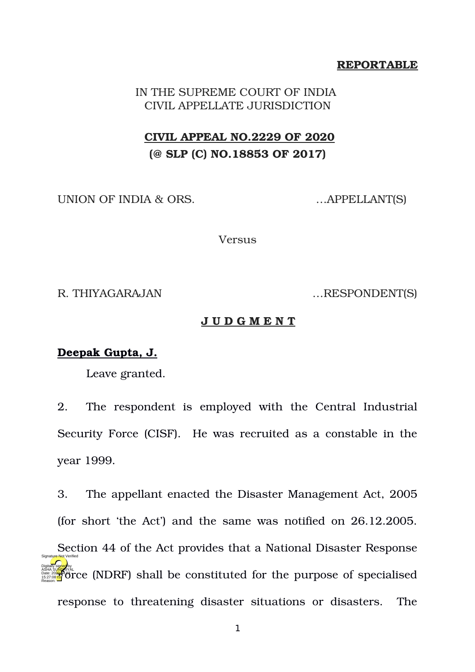### **REPORTABLE**

IN THE SUPREME COURT OF INDIA CIVIL APPELLATE JURISDICTION

# **CIVIL APPEAL NO.2229 OF 2020 (@ SLP (C) NO.18853 OF 2017)**

UNION OF INDIA & ORS. …APPELLANT(S)

Versus

R. THIYAGARAJAN …RESPONDENT(S)

#### **J U D G M E N T**

### **Deepak Gupta, J.**

Leave granted.

2. The respondent is employed with the Central Industrial Security Force (CISF). He was recruited as a constable in the year 1999.

3. The appellant enacted the Disaster Management Act, 2005 (for short 'the Act') and the same was notified on 26.12.2005. Section 44 of the Act provides that a National Disaster Response ASHA SURGARIZAL CONSTRUCTED SHALL be constituted for the purpose of specialised response to threatening disaster situations or disasters. The Digitally signed by Reason: Signature Not Verified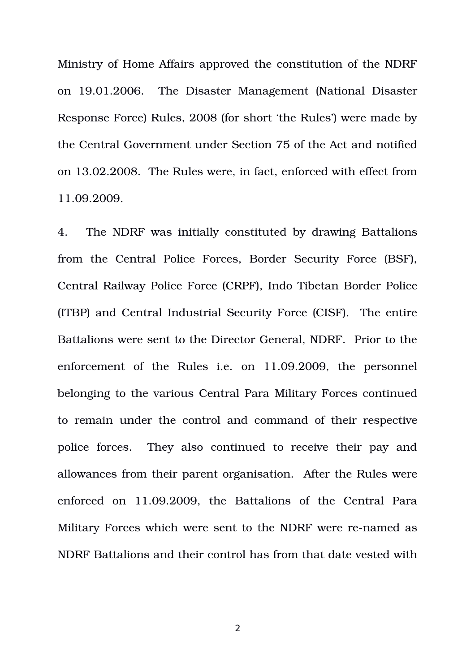Ministry of Home Affairs approved the constitution of the NDRF on 19.01.2006. The Disaster Management (National Disaster Response Force) Rules, 2008 (for short 'the Rules') were made by the Central Government under Section 75 of the Act and notified on 13.02.2008. The Rules were, in fact, enforced with effect from 11.09.2009.

4. The NDRF was initially constituted by drawing Battalions from the Central Police Forces, Border Security Force (BSF), Central Railway Police Force (CRPF), Indo Tibetan Border Police (ITBP) and Central Industrial Security Force (CISF). The entire Battalions were sent to the Director General, NDRF. Prior to the enforcement of the Rules i.e. on 11.09.2009, the personnel belonging to the various Central Para Military Forces continued to remain under the control and command of their respective police forces. They also continued to receive their pay and allowances from their parent organisation. After the Rules were enforced on 11.09.2009, the Battalions of the Central Para Military Forces which were sent to the NDRF were re-named as NDRF Battalions and their control has from that date vested with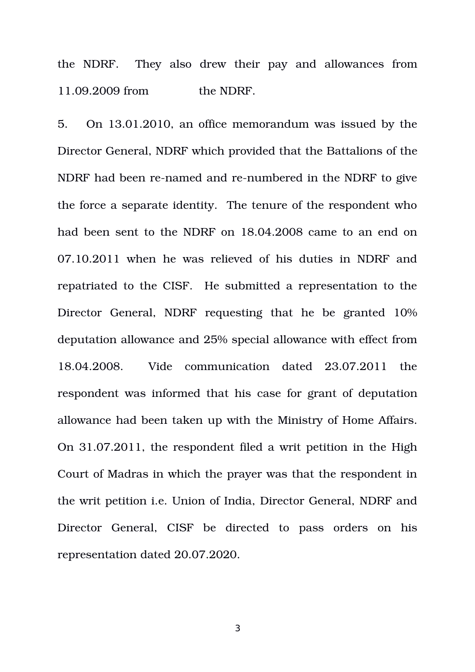the NDRF. They also drew their pay and allowances from 11.09.2009 from the NDRF.

5. On 13.01.2010, an office memorandum was issued by the Director General, NDRF which provided that the Battalions of the NDRF had been re-named and re-numbered in the NDRF to give the force a separate identity. The tenure of the respondent who had been sent to the NDRF on 18.04.2008 came to an end on 07.10.2011 when he was relieved of his duties in NDRF and repatriated to the CISF. He submitted a representation to the Director General, NDRF requesting that he be granted 10% deputation allowance and 25% special allowance with effect from 18.04.2008. Vide communication dated 23.07.2011 the respondent was informed that his case for grant of deputation allowance had been taken up with the Ministry of Home Affairs. On 31.07.2011, the respondent filed a writ petition in the High Court of Madras in which the prayer was that the respondent in the writ petition i.e. Union of India, Director General, NDRF and Director General, CISF be directed to pass orders on his representation dated 20.07.2020.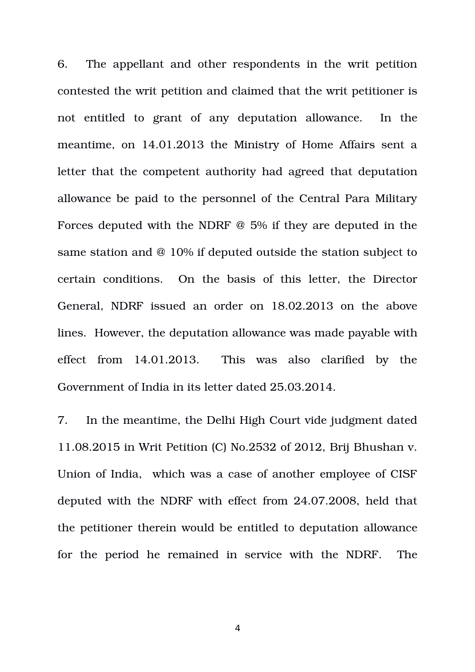6. The appellant and other respondents in the writ petition contested the writ petition and claimed that the writ petitioner is not entitled to grant of any deputation allowance. In the meantime, on 14.01.2013 the Ministry of Home Affairs sent a letter that the competent authority had agreed that deputation allowance be paid to the personnel of the Central Para Military Forces deputed with the NDRF @ 5% if they are deputed in the same station and @ 10% if deputed outside the station subject to certain conditions. On the basis of this letter, the Director General, NDRF issued an order on 18.02.2013 on the above lines. However, the deputation allowance was made payable with effect from 14.01.2013. This was also clarified by the Government of India in its letter dated 25.03.2014.

7. In the meantime, the Delhi High Court vide judgment dated 11.08.2015 in Writ Petition (C) No.2532 of 2012, Brij Bhushan v. Union of India, which was a case of another employee of CISF deputed with the NDRF with effect from 24.07.2008, held that the petitioner therein would be entitled to deputation allowance for the period he remained in service with the NDRF. The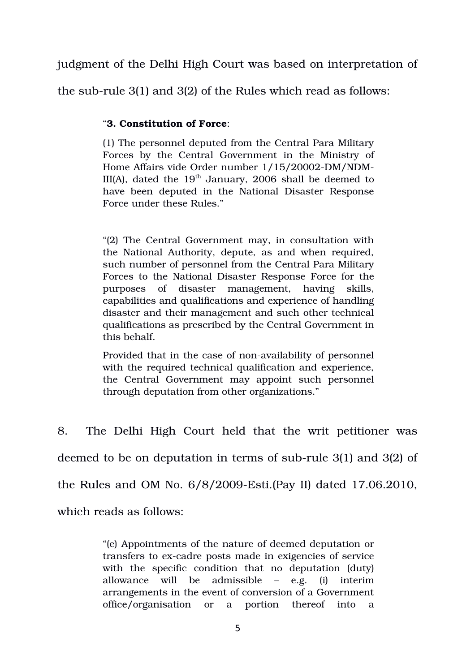judgment of the Delhi High Court was based on interpretation of

the sub-rule  $3(1)$  and  $3(2)$  of the Rules which read as follows:

### "**3. Constitution of Force**:

(1) The personnel deputed from the Central Para Military Forces by the Central Government in the Ministry of Home Affairs vide Order number 1/15/20002-DM/NDM-III(A), dated the  $19<sup>th</sup>$  January, 2006 shall be deemed to have been deputed in the National Disaster Response Force under these Rules."

"(2) The Central Government may, in consultation with the National Authority, depute, as and when required, such number of personnel from the Central Para Military Forces to the National Disaster Response Force for the purposes of disaster management, having skills, capabilities and qualifications and experience of handling disaster and their management and such other technical qualifications as prescribed by the Central Government in this behalf.

Provided that in the case of non-availability of personnel with the required technical qualification and experience, the Central Government may appoint such personnel through deputation from other organizations."

8. The Delhi High Court held that the writ petitioner was deemed to be on deputation in terms of sub-rule 3(1) and 3(2) of the Rules and OM No.  $6/8/2009$ -Esti.(Pay II) dated 17.06.2010, which reads as follows:

> "(e) Appointments of the nature of deemed deputation or transfers to ex-cadre posts made in exigencies of service with the specific condition that no deputation (duty) allowance will be admissible – e.g. (i) interim arrangements in the event of conversion of a Government office/organisation or a portion thereof into a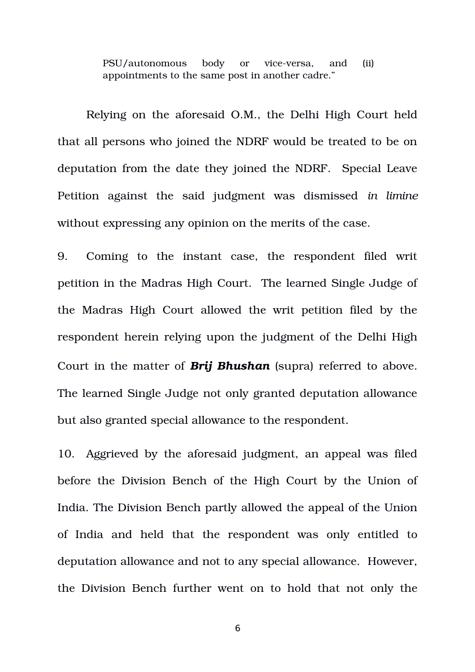PSU/autonomous body or vice-versa, and (ii) appointments to the same post in another cadre."

Relying on the aforesaid O.M., the Delhi High Court held that all persons who joined the NDRF would be treated to be on deputation from the date they joined the NDRF. Special Leave Petition against the said judgment was dismissed *in limine* without expressing any opinion on the merits of the case.

9. Coming to the instant case, the respondent filed writ petition in the Madras High Court. The learned Single Judge of the Madras High Court allowed the writ petition filed by the respondent herein relying upon the judgment of the Delhi High Court in the matter of *Brij Bhushan* (supra) referred to above. The learned Single Judge not only granted deputation allowance but also granted special allowance to the respondent.

10. Aggrieved by the aforesaid judgment, an appeal was filed before the Division Bench of the High Court by the Union of India. The Division Bench partly allowed the appeal of the Union of India and held that the respondent was only entitled to deputation allowance and not to any special allowance. However, the Division Bench further went on to hold that not only the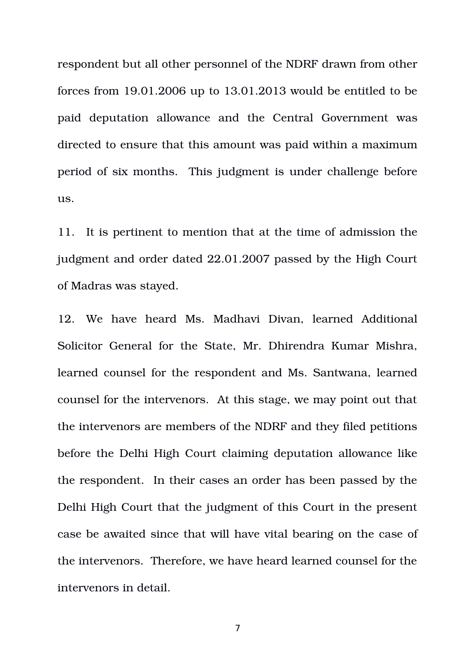respondent but all other personnel of the NDRF drawn from other forces from 19.01.2006 up to 13.01.2013 would be entitled to be paid deputation allowance and the Central Government was directed to ensure that this amount was paid within a maximum period of six months. This judgment is under challenge before us.

11. It is pertinent to mention that at the time of admission the judgment and order dated 22.01.2007 passed by the High Court of Madras was stayed.

12. We have heard Ms. Madhavi Divan, learned Additional Solicitor General for the State, Mr. Dhirendra Kumar Mishra, learned counsel for the respondent and Ms. Santwana, learned counsel for the intervenors. At this stage, we may point out that the intervenors are members of the NDRF and they filed petitions before the Delhi High Court claiming deputation allowance like the respondent. In their cases an order has been passed by the Delhi High Court that the judgment of this Court in the present case be awaited since that will have vital bearing on the case of the intervenors. Therefore, we have heard learned counsel for the intervenors in detail.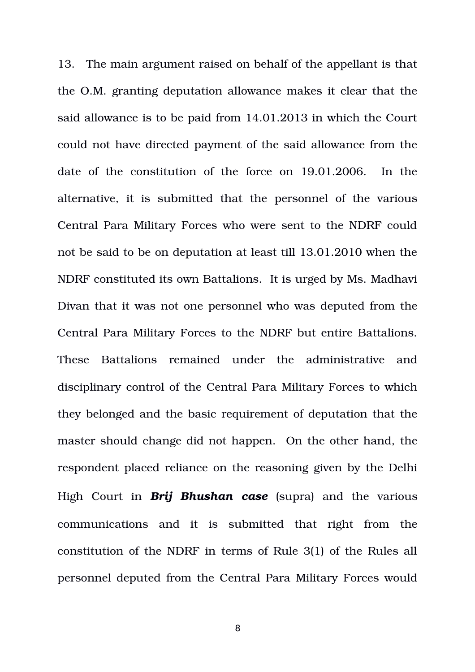13. The main argument raised on behalf of the appellant is that the O.M. granting deputation allowance makes it clear that the said allowance is to be paid from 14.01.2013 in which the Court could not have directed payment of the said allowance from the date of the constitution of the force on  $19.01.2006$ . In the alternative, it is submitted that the personnel of the various Central Para Military Forces who were sent to the NDRF could not be said to be on deputation at least till 13.01.2010 when the NDRF constituted its own Battalions. It is urged by Ms. Madhavi Divan that it was not one personnel who was deputed from the Central Para Military Forces to the NDRF but entire Battalions. These Battalions remained under the administrative and disciplinary control of the Central Para Military Forces to which they belonged and the basic requirement of deputation that the master should change did not happen. On the other hand, the respondent placed reliance on the reasoning given by the Delhi High Court in *Brij Bhushan case* (supra) and the various communications and it is submitted that right from the constitution of the NDRF in terms of Rule 3(1) of the Rules all personnel deputed from the Central Para Military Forces would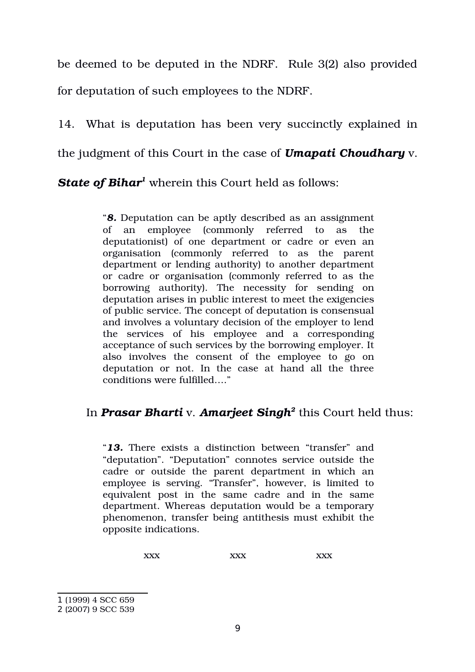be deemed to be deputed in the NDRF. Rule 3(2) also provided for deputation of such employees to the NDRF.

14. What is deputation has been very succinctly explained in the judgment of this Court in the case of *Umapati Choudhary* v.

*State of Bihar[1](#page-8-0)* wherein this Court held as follows:

"*8.* Deputation can be aptly described as an assignment of an employee (commonly referred to as the deputationist) of one department or cadre or even an organisation (commonly referred to as the parent department or lending authority) to another department or cadre or organisation (commonly referred to as the borrowing authority). The necessity for sending on deputation arises in public interest to meet the exigencies of public service. The concept of deputation is consensual and involves a voluntary decision of the employer to lend the services of his employee and a corresponding acceptance of such services by the borrowing employer. It also involves the consent of the employee to go on deputation or not. In the case at hand all the three conditions were fulfilled…."

## In *Prasar Bharti* v. *Amarjeet Singh[2](#page-8-1)* this Court held thus:

"*13.* There exists a distinction between "transfer" and "deputation". "Deputation" connotes service outside the cadre or outside the parent department in which an employee is serving. "Transfer", however, is limited to equivalent post in the same cadre and in the same department. Whereas deputation would be a temporary phenomenon, transfer being antithesis must exhibit the opposite indications.

xxx xxx xxx xxx

<span id="page-8-0"></span><sup>1</sup> (1999) 4 SCC 659

<span id="page-8-1"></span><sup>2</sup> (2007) 9 SCC 539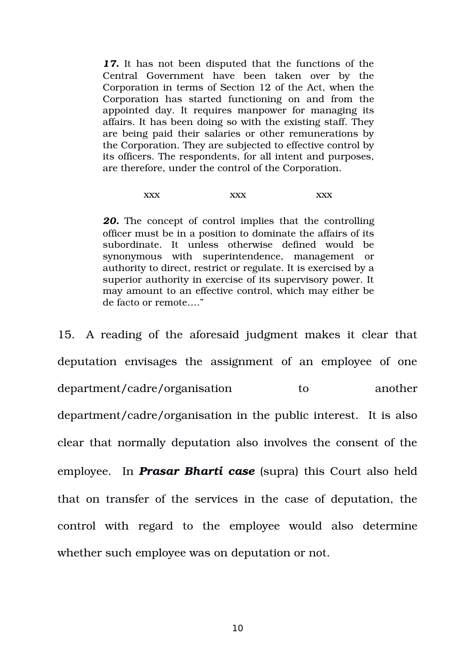*17.* It has not been disputed that the functions of the Central Government have been taken over by the Corporation in terms of Section 12 of the Act, when the Corporation has started functioning on and from the appointed day. It requires manpower for managing its affairs. It has been doing so with the existing staff. They are being paid their salaries or other remunerations by the Corporation. They are subjected to effective control by its officers. The respondents, for all intent and purposes, are therefore, under the control of the Corporation.

#### xxx xxx xxx xxx

*20.* The concept of control implies that the controlling officer must be in a position to dominate the affairs of its subordinate. It unless otherwise defined would be synonymous with superintendence, management or authority to direct, restrict or regulate. It is exercised by a superior authority in exercise of its supervisory power. It may amount to an effective control, which may either be de facto or remote…."

15. A reading of the aforesaid judgment makes it clear that deputation envisages the assignment of an employee of one department/cadre/organisation to another department/cadre/organisation in the public interest. It is also clear that normally deputation also involves the consent of the employee. In **Prasar Bharti case** (supra) this Court also held that on transfer of the services in the case of deputation, the control with regard to the employee would also determine whether such employee was on deputation or not.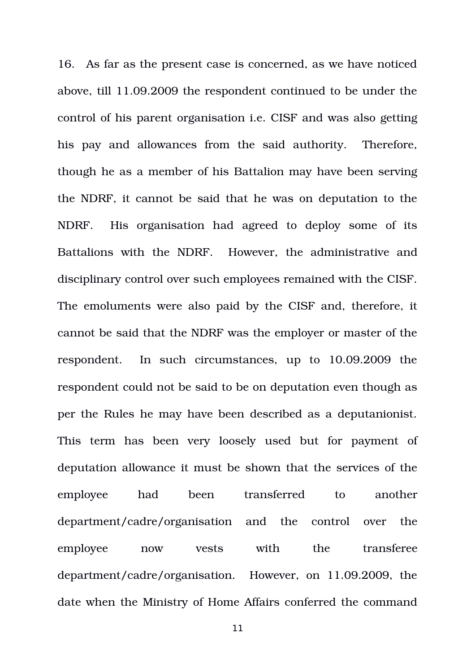16. As far as the present case is concerned, as we have noticed above, till 11.09.2009 the respondent continued to be under the control of his parent organisation i.e. CISF and was also getting his pay and allowances from the said authority. Therefore, though he as a member of his Battalion may have been serving the NDRF, it cannot be said that he was on deputation to the NDRF. His organisation had agreed to deploy some of its Battalions with the NDRF. However, the administrative and disciplinary control over such employees remained with the CISF. The emoluments were also paid by the CISF and, therefore, it cannot be said that the NDRF was the employer or master of the respondent. In such circumstances, up to 10.09.2009 the respondent could not be said to be on deputation even though as per the Rules he may have been described as a deputanionist. This term has been very loosely used but for payment of deputation allowance it must be shown that the services of the employee had been transferred to another department/cadre/organisation and the control over the employee now vests with the transferee department/cadre/organisation. However, on 11.09.2009, the date when the Ministry of Home Affairs conferred the command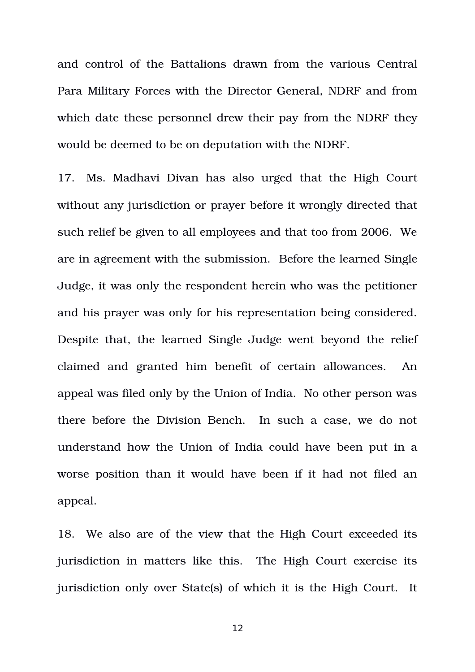and control of the Battalions drawn from the various Central Para Military Forces with the Director General, NDRF and from which date these personnel drew their pay from the NDRF they would be deemed to be on deputation with the NDRF.

17. Ms. Madhavi Divan has also urged that the High Court without any jurisdiction or prayer before it wrongly directed that such relief be given to all employees and that too from 2006. We are in agreement with the submission. Before the learned Single Judge, it was only the respondent herein who was the petitioner and his prayer was only for his representation being considered. Despite that, the learned Single Judge went beyond the relief claimed and granted him benefit of certain allowances. An appeal was filed only by the Union of India. No other person was there before the Division Bench. In such a case, we do not understand how the Union of India could have been put in a worse position than it would have been if it had not filed an appeal.

18. We also are of the view that the High Court exceeded its jurisdiction in matters like this. The High Court exercise its jurisdiction only over State(s) of which it is the High Court. It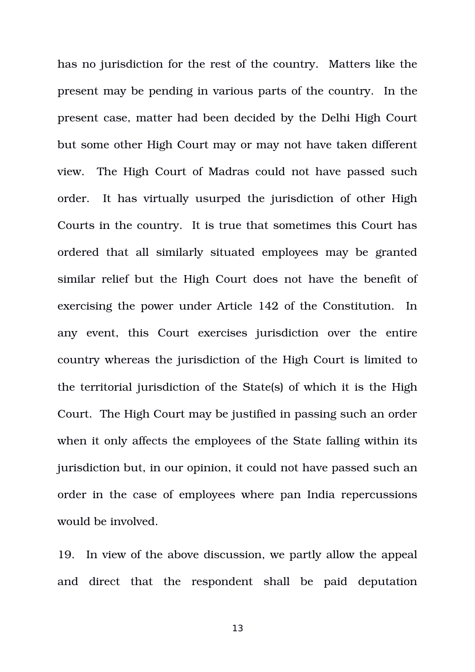has no jurisdiction for the rest of the country. Matters like the present may be pending in various parts of the country. In the present case, matter had been decided by the Delhi High Court but some other High Court may or may not have taken different view. The High Court of Madras could not have passed such order. It has virtually usurped the jurisdiction of other High Courts in the country. It is true that sometimes this Court has ordered that all similarly situated employees may be granted similar relief but the High Court does not have the benefit of exercising the power under Article 142 of the Constitution. In any event, this Court exercises jurisdiction over the entire country whereas the jurisdiction of the High Court is limited to the territorial jurisdiction of the State(s) of which it is the High Court. The High Court may be justified in passing such an order when it only affects the employees of the State falling within its jurisdiction but, in our opinion, it could not have passed such an order in the case of employees where pan India repercussions would be involved.

19. In view of the above discussion, we partly allow the appeal and direct that the respondent shall be paid deputation